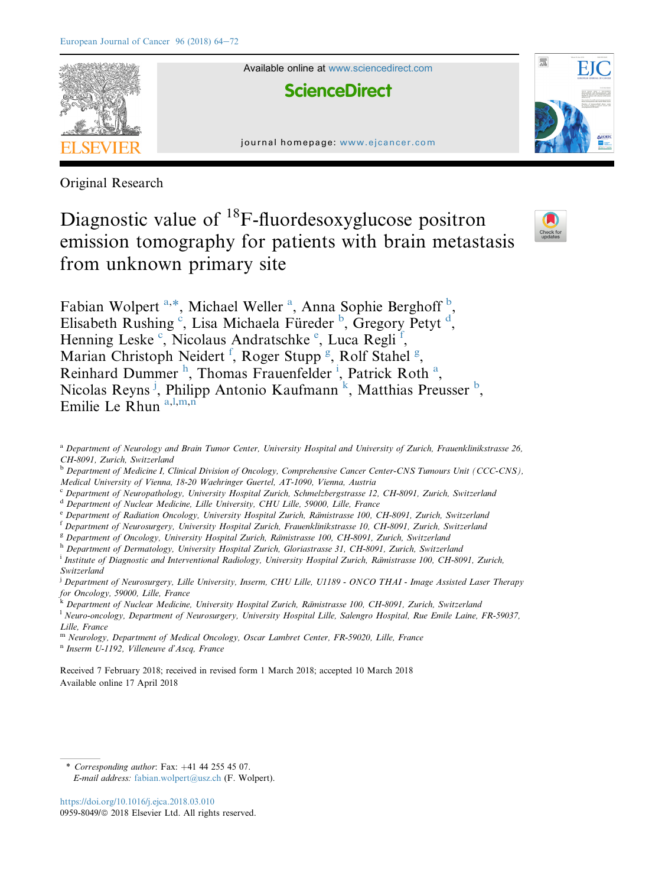

Original Research

Diagnostic value of  $^{18}$ F-fluordesoxyglucose positron emission tomography for patients with brain metastasis from unknown primary site



Fabian Wolpert<sup>a,\*</sup>, Michael Weller<sup>a</sup>, Anna Sophie Berghoff<sup>b</sup>, Elisabeth Rushing<sup>c</sup>, Lisa Michaela Füreder<sup>b</sup>, Gregory Petyt<sup>d</sup>, Henning Leske <sup>c</sup>, Nicolaus Andratschke <sup>e</sup>, Luca Regli<sup>f</sup>, Marian Christoph Neidert<sup>f</sup>, Roger Stupp<sup>g</sup>, Rolf Stahel<sup>g</sup>, Reinhard Dummer<sup>h</sup>, Thomas Frauenfelder<sup>i</sup>, Patrick Roth<sup>a</sup>, Nicolas Reyns<sup>j</sup>, Philipp Antonio Kaufmann<sup>k</sup>, Matthias Preusser<sup>b</sup>, Emilie Le Rhun  $a, l, m, n$ 

<sup>b</sup> Department of Medicine I, Clinical Division of Oncology, Comprehensive Cancer Center-CNS Tumours Unit (CCC-CNS), Medical University of Vienna, 18-20 Waehringer Guertel, AT-1090, Vienna, Austria

<sup>c</sup> Department of Neuropathology, University Hospital Zurich, Schmelzbergstrasse 12, CH-8091, Zurich, Switzerland

<sup>d</sup> Department of Nuclear Medicine, Lille University, CHU Lille, 59000, Lille, France

e Department of Radiation Oncology, University Hospital Zurich, Raïmistrasse 100, CH-8091, Zurich, Switzerland  $f$  Department of Neurosurgery, University Hospital Zurich, Frauenklinikstrasse 10, CH-8091, Zurich, Switzerla

<sup>g</sup> Department of Oncology, University Hospital Zurich, Raïmistrasse 100, CH-8091, Zurich, Switzerland h Department of Dermatology, University Hospital Zurich, Gloriastrasse 31, CH-8091, Zurich, Switzerland

Institute of Diagnostic and Interventional Radiology, University Hospital Zurich, Rämistrasse 100, CH-8091, Zurich, Switzerland

j Department of Neurosurgery, Lille University, Inserm, CHU Lille, U1189 - ONCO THAI - Image Assisted Laser Therapy for Oncology, 59000, Lille, France

k Department of Nuclear Medicine, University Hospital Zurich, Rämistrasse 100, CH-8091, Zurich, Switzerland

 $N$ - Neuro-oncology, Department of Neurosurgery, University Hospital Lille, Salengro Hospital, Rue Emile Laine, FR-59037, Lille, France

<sup>m</sup> Neurology, Department of Medical Oncology, Oscar Lambret Center, FR-59020, Lille, France

<sup>n</sup> Inserm U-1192, Villeneuve d'Ascq, France

Received 7 February 2018; received in revised form 1 March 2018; accepted 10 March 2018 Available online 17 April 2018

<sup>a</sup> Department of Neurology and Brain Tumor Center, University Hospital and University of Zurich, Frauenklinikstrasse 26, CH-8091, Zurich, Switzerland

<sup>\*</sup> Corresponding author: Fax:  $+41$  44 255 45 07. E-mail address: [fabian.wolpert@usz.ch](mailto:fabian.wolpert@usz.ch) (F. Wolpert).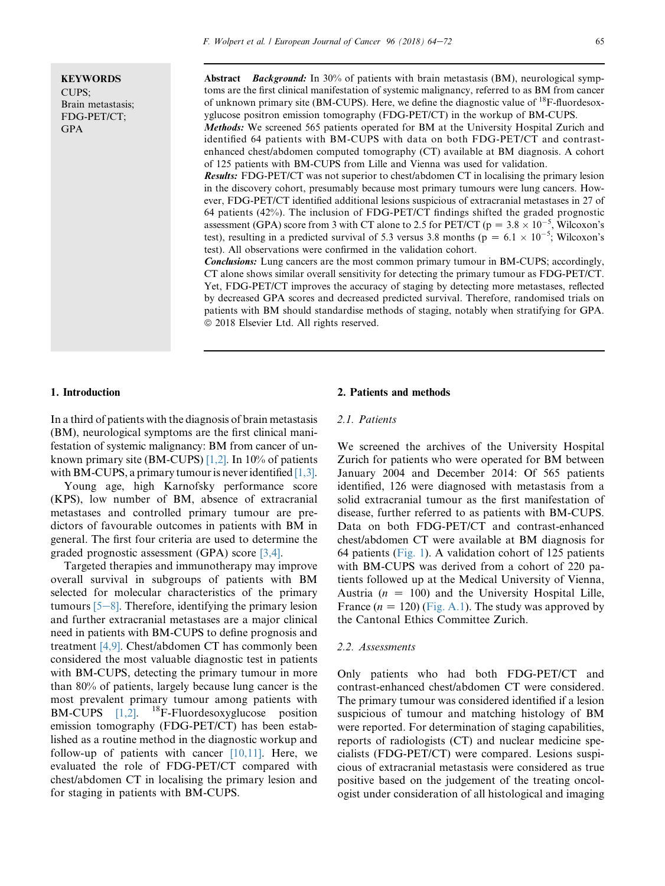**KEYWORDS**  $CUPS$ Brain metastasis; FDG-PET/CT; GPA

Abstract *Background:* In 30% of patients with brain metastasis (BM), neurological symptoms are the first clinical manifestation of systemic malignancy, referred to as BM from cancer of unknown primary site (BM-CUPS). Here, we define the diagnostic value of  ${}^{18}F$ -fluordesoxyglucose positron emission tomography (FDG-PET/CT) in the workup of BM-CUPS.

Methods: We screened 565 patients operated for BM at the University Hospital Zurich and identified 64 patients with BM-CUPS with data on both FDG-PET/CT and contrastenhanced chest/abdomen computed tomography (CT) available at BM diagnosis. A cohort of 125 patients with BM-CUPS from Lille and Vienna was used for validation.

Results: FDG-PET/CT was not superior to chest/abdomen CT in localising the primary lesion in the discovery cohort, presumably because most primary tumours were lung cancers. However, FDG-PET/CT identified additional lesions suspicious of extracranial metastases in 27 of 64 patients (42%). The inclusion of FDG-PET/CT findings shifted the graded prognostic assessment (GPA) score from 3 with CT alone to 2.5 for PET/CT ( $p = 3.8 \times 10^{-5}$ , Wilcoxon's test), resulting in a predicted survival of 5.3 versus 3.8 months ( $p = 6.1 \times 10^{-5}$ ; Wilcoxon's test). All observations were confirmed in the validation cohort.

Conclusions: Lung cancers are the most common primary tumour in BM-CUPS; accordingly, CT alone shows similar overall sensitivity for detecting the primary tumour as FDG-PET/CT. Yet, FDG-PET/CT improves the accuracy of staging by detecting more metastases, reflected by decreased GPA scores and decreased predicted survival. Therefore, randomised trials on patients with BM should standardise methods of staging, notably when stratifying for GPA.  $© 2018 Elsevier Ltd. All rights reserved.$ 

#### 1. Introduction

In a third of patients with the diagnosis of brain metastasis (BM), neurological symptoms are the first clinical manifestation of systemic malignancy: BM from cancer of unknown primary site (BM-CUPS) [\[1,2\].](#page-7-0) In 10% of patients with BM-CUPS, a primary tumour is never identified  $[1,3]$ .

Young age, high Karnofsky performance score (KPS), low number of BM, absence of extracranial metastases and controlled primary tumour are predictors of favourable outcomes in patients with BM in general. The first four criteria are used to determine the graded prognostic assessment (GPA) score [\[3,4\]](#page-7-0).

Targeted therapies and immunotherapy may improve overall survival in subgroups of patients with BM selected for molecular characteristics of the primary tumours  $[5-8]$  $[5-8]$ . Therefore, identifying the primary lesion and further extracranial metastases are a major clinical need in patients with BM-CUPS to define prognosis and treatment [\[4,9\].](#page-7-0) Chest/abdomen CT has commonly been considered the most valuable diagnostic test in patients with BM-CUPS, detecting the primary tumour in more than 80% of patients, largely because lung cancer is the most prevalent primary tumour among patients with BM-CUPS  $[1,2]$ . <sup>18</sup>F-Fluordesoxyglucose position emission tomography (FDG-PET/CT) has been established as a routine method in the diagnostic workup and follow-up of patients with cancer  $[10,11]$ . Here, we evaluated the role of FDG-PET/CT compared with chest/abdomen CT in localising the primary lesion and for staging in patients with BM-CUPS.

#### 2. Patients and methods

## 2.1. Patients

We screened the archives of the University Hospital Zurich for patients who were operated for BM between January 2004 and December 2014: Of 565 patients identified, 126 were diagnosed with metastasis from a solid extracranial tumour as the first manifestation of disease, further referred to as patients with BM-CUPS. Data on both FDG-PET/CT and contrast-enhanced chest/abdomen CT were available at BM diagnosis for 64 patients ([Fig. 1\)](#page-2-0). A validation cohort of 125 patients with BM-CUPS was derived from a cohort of 220 patients followed up at the Medical University of Vienna, Austria ( $n = 100$ ) and the University Hospital Lille, France  $(n = 120)$  (Fig. A.1). The study was approved by the Cantonal Ethics Committee Zurich.

## 2.2. Assessments

Only patients who had both FDG-PET/CT and contrast-enhanced chest/abdomen CT were considered. The primary tumour was considered identified if a lesion suspicious of tumour and matching histology of BM were reported. For determination of staging capabilities, reports of radiologists (CT) and nuclear medicine specialists (FDG-PET/CT) were compared. Lesions suspicious of extracranial metastasis were considered as true positive based on the judgement of the treating oncologist under consideration of all histological and imaging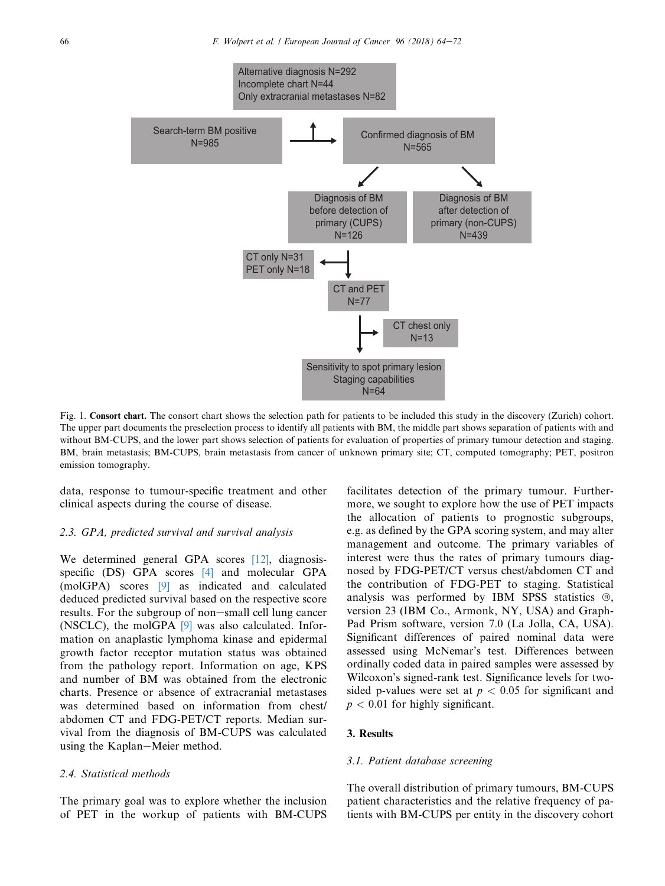<span id="page-2-0"></span>

Fig. 1. Consort chart. The consort chart shows the selection path for patients to be included this study in the discovery (Zurich) cohort. The upper part documents the preselection process to identify all patients with BM, the middle part shows separation of patients with and without BM-CUPS, and the lower part shows selection of patients for evaluation of properties of primary tumour detection and staging. BM, brain metastasis; BM-CUPS, brain metastasis from cancer of unknown primary site; CT, computed tomography; PET, positron emission tomography.

data, response to tumour-specific treatment and other clinical aspects during the course of disease.

## 2.3. GPA, predicted survival and survival analysis

We determined general GPA scores [\[12\],](#page-8-0) diagnosis-specific (DS) GPA scores [\[4\]](#page-7-0) and molecular GPA (molGPA) scores [\[9\]](#page-8-0) as indicated and calculated deduced predicted survival based on the respective score results. For the subgroup of non-small cell lung cancer (NSCLC), the molGPA [\[9\]](#page-8-0) was also calculated. Information on anaplastic lymphoma kinase and epidermal growth factor receptor mutation status was obtained from the pathology report. Information on age, KPS and number of BM was obtained from the electronic charts. Presence or absence of extracranial metastases was determined based on information from chest/ abdomen CT and FDG-PET/CT reports. Median survival from the diagnosis of BM-CUPS was calculated using the Kaplan-Meier method.

## 2.4. Statistical methods

The primary goal was to explore whether the inclusion of PET in the workup of patients with BM-CUPS facilitates detection of the primary tumour. Furthermore, we sought to explore how the use of PET impacts the allocation of patients to prognostic subgroups, e.g. as defined by the GPA scoring system, and may alter management and outcome. The primary variables of interest were thus the rates of primary tumours diagnosed by FDG-PET/CT versus chest/abdomen CT and the contribution of FDG-PET to staging. Statistical analysis was performed by IBM SPSS statistics  $\circledR$ , version 23 (IBM Co., Armonk, NY, USA) and Graph-Pad Prism software, version 7.0 (La Jolla, CA, USA). Significant differences of paired nominal data were assessed using McNemar's test. Differences between ordinally coded data in paired samples were assessed by Wilcoxon's signed-rank test. Significance levels for twosided p-values were set at  $p < 0.05$  for significant and  $p < 0.01$  for highly significant.

# 3. Results

## 3.1. Patient database screening

The overall distribution of primary tumours, BM-CUPS patient characteristics and the relative frequency of patients with BM-CUPS per entity in the discovery cohort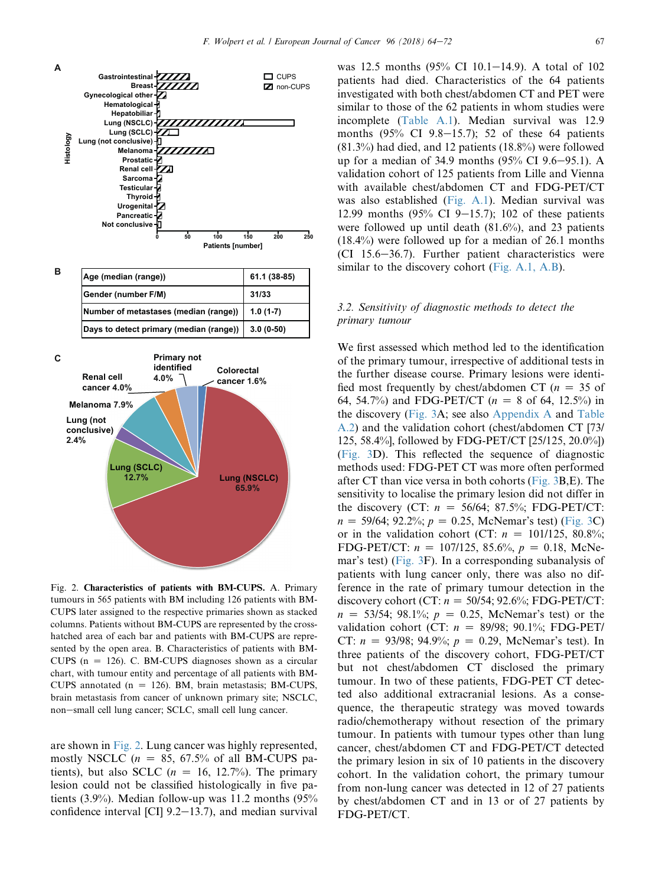

<span id="page-3-0"></span>

Fig. 2. Characteristics of patients with BM-CUPS. A. Primary tumours in 565 patients with BM including 126 patients with BM-CUPS later assigned to the respective primaries shown as stacked columns. Patients without BM-CUPS are represented by the crosshatched area of each bar and patients with BM-CUPS are represented by the open area. B. Characteristics of patients with BM-CUPS ( $n = 126$ ). C. BM-CUPS diagnoses shown as a circular chart, with tumour entity and percentage of all patients with BM-CUPS annotated ( $n = 126$ ). BM, brain metastasis; BM-CUPS, brain metastasis from cancer of unknown primary site; NSCLC, non-small cell lung cancer; SCLC, small cell lung cancer.

are shown in Fig. 2. Lung cancer was highly represented, mostly NSCLC ( $n = 85, 67.5\%$  of all BM-CUPS patients), but also SCLC ( $n = 16$ , 12.7%). The primary lesion could not be classified histologically in five patients (3.9%). Median follow-up was 11.2 months (95% confidence interval  $\left[ \text{CI} \right]$  9.2–13.7), and median survival was 12.5 months  $(95\% \text{ CI } 10.1-14.9)$ . A total of 102 patients had died. Characteristics of the 64 patients investigated with both chest/abdomen CT and PET were similar to those of the 62 patients in whom studies were incomplete (Table A.1). Median survival was 12.9 months  $(95\% \text{ CI } 9.8-15.7)$ ; 52 of these 64 patients (81.3%) had died, and 12 patients (18.8%) were followed up for a median of 34.9 months  $(95\% \text{ CI } 9.6-95.1)$ . A validation cohort of 125 patients from Lille and Vienna with available chest/abdomen CT and FDG-PET/CT was also established (Fig. A.1). Median survival was 12.99 months (95% CI 9–15.7); 102 of these patients were followed up until death  $(81.6\%)$ , and 23 patients (18.4%) were followed up for a median of 26.1 months  $(CI \ 15.6-36.7)$ . Further patient characteristics were similar to the discovery cohort (Fig. A.1, A.B).

# 3.2. Sensitivity of diagnostic methods to detect the primary tumour

We first assessed which method led to the identification of the primary tumour, irrespective of additional tests in the further disease course. Primary lesions were identified most frequently by chest/abdomen CT ( $n = 35$  of 64, 54.7%) and FDG-PET/CT ( $n = 8$  of 64, 12.5%) in the discovery ([Fig. 3](#page-4-0)A; see also Appendix A and Table A.2) and the validation cohort (chest/abdomen CT [73/ 125, 58.4%], followed by FDG-PET/CT [25/125, 20.0%]) ([Fig. 3D](#page-4-0)). This reflected the sequence of diagnostic methods used: FDG-PET CT was more often performed after CT than vice versa in both cohorts [\(Fig. 3B](#page-4-0),E). The sensitivity to localise the primary lesion did not differ in the discovery (CT:  $n = 56/64$ ; 87.5%; FDG-PET/CT:  $n = 59/64$ ; 92.2%;  $p = 0.25$ , McNemar's test) ([Fig. 3C](#page-4-0)) or in the validation cohort (CT:  $n = 101/125$ , 80.8%; FDG-PET/CT:  $n = 107/125$ , 85.6%,  $p = 0.18$ , McNemar's test) [\(Fig. 3F](#page-4-0)). In a corresponding subanalysis of patients with lung cancer only, there was also no difference in the rate of primary tumour detection in the discovery cohort (CT:  $n = 50/54$ ; 92.6%; FDG-PET/CT:  $n = 53/54$ ; 98.1%;  $p = 0.25$ , McNemar's test) or the validation cohort (CT:  $n = 89/98$ ; 90.1%; FDG-PET/ CT:  $n = 93/98$ ; 94.9%;  $p = 0.29$ , McNemar's test). In three patients of the discovery cohort, FDG-PET/CT but not chest/abdomen CT disclosed the primary tumour. In two of these patients, FDG-PET CT detected also additional extracranial lesions. As a consequence, the therapeutic strategy was moved towards radio/chemotherapy without resection of the primary tumour. In patients with tumour types other than lung cancer, chest/abdomen CT and FDG-PET/CT detected the primary lesion in six of 10 patients in the discovery cohort. In the validation cohort, the primary tumour from non-lung cancer was detected in 12 of 27 patients by chest/abdomen CT and in 13 or of 27 patients by FDG-PET/CT.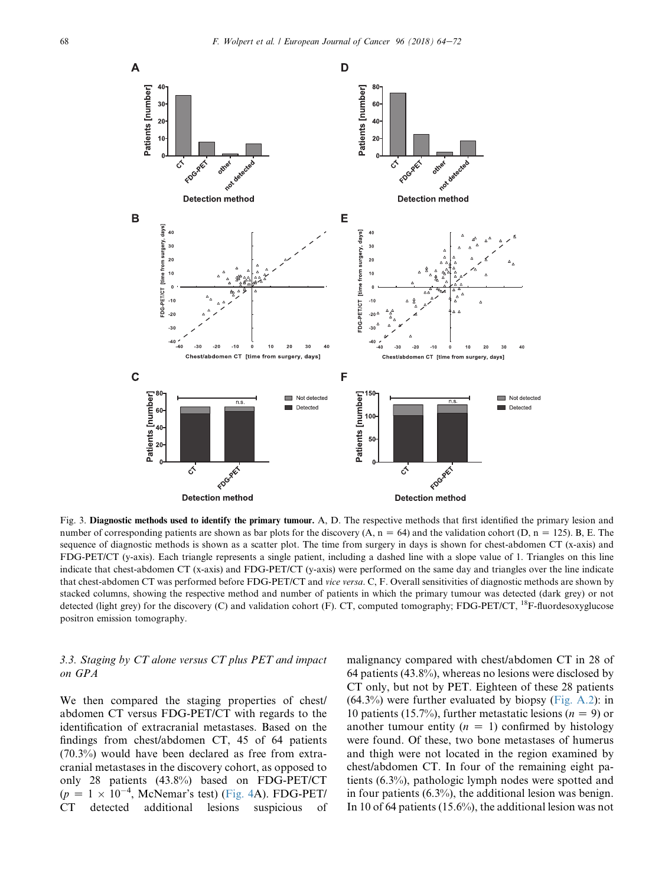<span id="page-4-0"></span>

Fig. 3. Diagnostic methods used to identify the primary tumour. A, D. The respective methods that first identified the primary lesion and number of corresponding patients are shown as bar plots for the discovery (A,  $n = 64$ ) and the validation cohort (D,  $n = 125$ ). B, E. The sequence of diagnostic methods is shown as a scatter plot. The time from surgery in days is shown for chest-abdomen CT (x-axis) and FDG-PET/CT (y-axis). Each triangle represents a single patient, including a dashed line with a slope value of 1. Triangles on this line indicate that chest-abdomen CT (x-axis) and FDG-PET/CT (y-axis) were performed on the same day and triangles over the line indicate that chest-abdomen CT was performed before FDG-PET/CT and vice versa. C, F. Overall sensitivities of diagnostic methods are shown by stacked columns, showing the respective method and number of patients in which the primary tumour was detected (dark grey) or not detected (light grey) for the discovery (C) and validation cohort  $(F)$ . CT, computed tomography; FDG-PET/CT, <sup>18</sup>F-fluordesoxyglucose positron emission tomography.

# 3.3. Staging by CT alone versus CT plus PET and impact on GPA

We then compared the staging properties of chest/ abdomen CT versus FDG-PET/CT with regards to the identification of extracranial metastases. Based on the findings from chest/abdomen CT, 45 of 64 patients (70.3%) would have been declared as free from extracranial metastases in the discovery cohort, as opposed to only 28 patients (43.8%) based on FDG-PET/CT  $(p = 1 \times 10^{-4}$ , McNemar's test) ([Fig. 4](#page-5-0)A). FDG-PET/ CT detected additional lesions suspicious of malignancy compared with chest/abdomen CT in 28 of 64 patients (43.8%), whereas no lesions were disclosed by CT only, but not by PET. Eighteen of these 28 patients  $(64.3\%)$  were further evaluated by biopsy (Fig. A.2): in 10 patients (15.7%), further metastatic lesions ( $n = 9$ ) or another tumour entity  $(n = 1)$  confirmed by histology were found. Of these, two bone metastases of humerus and thigh were not located in the region examined by chest/abdomen CT. In four of the remaining eight patients (6.3%), pathologic lymph nodes were spotted and in four patients (6.3%), the additional lesion was benign. In 10 of 64 patients (15.6%), the additional lesion was not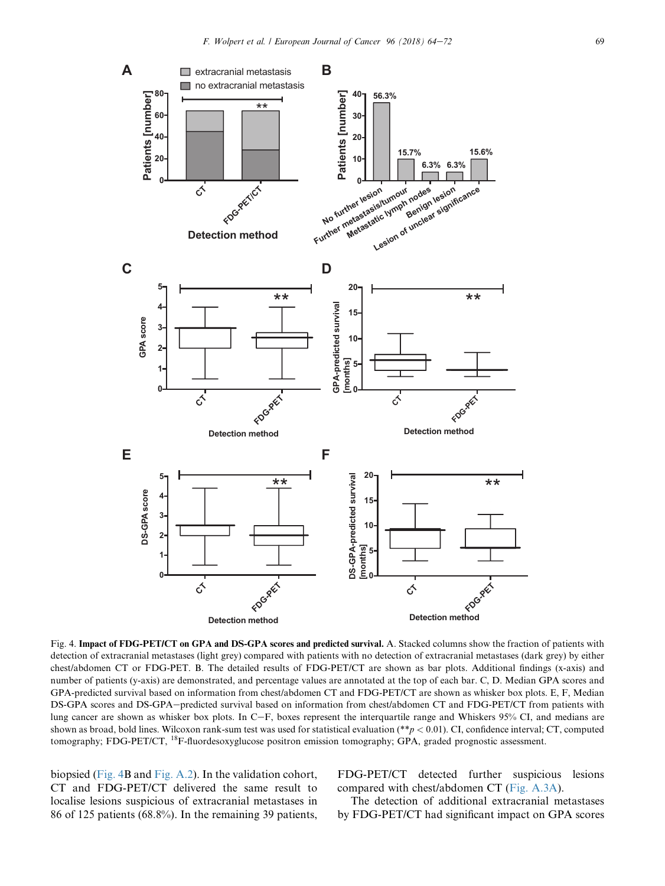<span id="page-5-0"></span>

Fig. 4. Impact of FDG-PET/CT on GPA and DS-GPA scores and predicted survival. A. Stacked columns show the fraction of patients with detection of extracranial metastases (light grey) compared with patients with no detection of extracranial metastases (dark grey) by either chest/abdomen CT or FDG-PET. B. The detailed results of FDG-PET/CT are shown as bar plots. Additional findings (x-axis) and number of patients (y-axis) are demonstrated, and percentage values are annotated at the top of each bar. C, D. Median GPA scores and GPA-predicted survival based on information from chest/abdomen CT and FDG-PET/CT are shown as whisker box plots. E, F, Median DS-GPA scores and DS-GPA-predicted survival based on information from chest/abdomen CT and FDG-PET/CT from patients with lung cancer are shown as whisker box plots. In C-F, boxes represent the interquartile range and Whiskers 95% CI, and medians are shown as broad, bold lines. Wilcoxon rank-sum test was used for statistical evaluation (\*\*p < 0.01). CI, confidence interval; CT, computed tomography; FDG-PET/CT, <sup>18</sup>F-fluordesoxyglucose positron emission tomography; GPA, graded prognostic assessment.

biopsied (Fig. 4B and Fig. A.2). In the validation cohort, CT and FDG-PET/CT delivered the same result to localise lesions suspicious of extracranial metastases in 86 of 125 patients (68.8%). In the remaining 39 patients, FDG-PET/CT detected further suspicious lesions compared with chest/abdomen CT (Fig. A.3A).

The detection of additional extracranial metastases by FDG-PET/CT had significant impact on GPA scores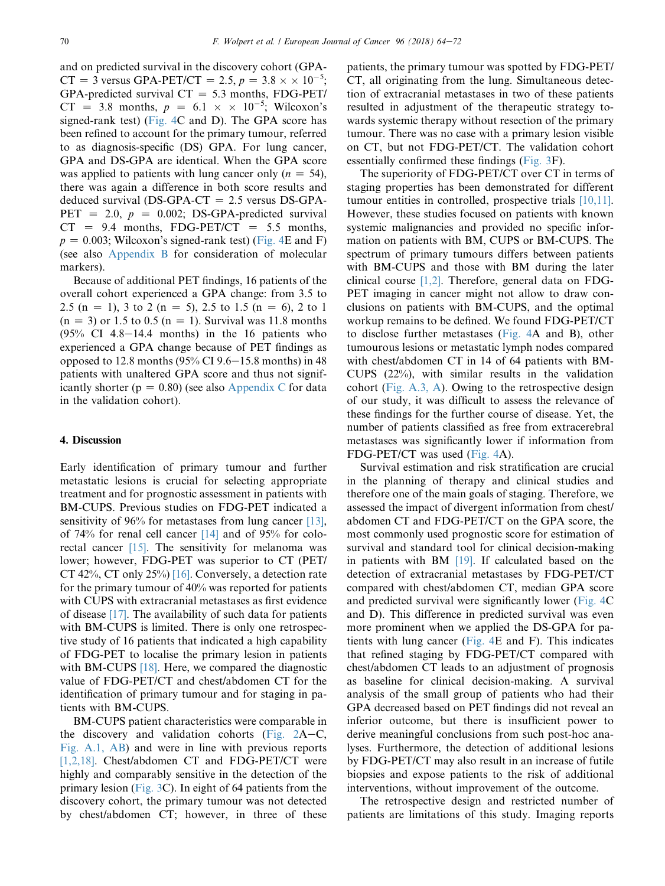and on predicted survival in the discovery cohort (GPA- $CT = 3$  versus GPA-PET/CT = 2.5,  $p = 3.8 \times \times 10^{-5}$ ; GPA-predicted survival  $CT = 5.3$  months, FDG-PET/  $CT = 3.8$  months,  $p = 6.1 \times \times 10^{-5}$ ; Wilcoxon's signed-rank test) ([Fig. 4C](#page-5-0) and D). The GPA score has been refined to account for the primary tumour, referred to as diagnosis-specific (DS) GPA. For lung cancer, GPA and DS-GPA are identical. When the GPA score was applied to patients with lung cancer only  $(n = 54)$ , there was again a difference in both score results and deduced survival (DS-GPA-CT  $= 2.5$  versus DS-GPA-PET = 2.0,  $p = 0.002$ ; DS-GPA-predicted survival  $CT = 9.4$  months, FDG-PET/CT = 5.5 months,  $p = 0.003$ ; Wilcoxon's signed-rank test) ([Fig. 4E](#page-5-0) and F) (see also Appendix B for consideration of molecular markers).

Because of additional PET findings, 16 patients of the overall cohort experienced a GPA change: from 3.5 to 2.5 (n = 1), 3 to 2 (n = 5), 2.5 to 1.5 (n = 6), 2 to 1  $(n = 3)$  or 1.5 to 0.5  $(n = 1)$ . Survival was 11.8 months  $(95\% \text{ CI } 4.8-14.4 \text{ months})$  in the 16 patients who experienced a GPA change because of PET findings as opposed to 12.8 months  $(95\% \text{ CI } 9.6-15.8 \text{ months})$  in 48 patients with unaltered GPA score and thus not significantly shorter ( $p = 0.80$ ) (see also Appendix C for data in the validation cohort).

## 4. Discussion

Early identification of primary tumour and further metastatic lesions is crucial for selecting appropriate treatment and for prognostic assessment in patients with BM-CUPS. Previous studies on FDG-PET indicated a sensitivity of 96% for metastases from lung cancer [\[13\]](#page-8-0), of 74% for renal cell cancer [\[14\]](#page-8-0) and of 95% for colorectal cancer [\[15\]](#page-8-0). The sensitivity for melanoma was lower; however, FDG-PET was superior to CT (PET/ CT 42%, CT only 25%) [\[16\]](#page-8-0). Conversely, a detection rate for the primary tumour of 40% was reported for patients with CUPS with extracranial metastases as first evidence of disease [\[17\]](#page-8-0). The availability of such data for patients with BM-CUPS is limited. There is only one retrospective study of 16 patients that indicated a high capability of FDG-PET to localise the primary lesion in patients with BM-CUPS [\[18\].](#page-8-0) Here, we compared the diagnostic value of FDG-PET/CT and chest/abdomen CT for the identification of primary tumour and for staging in patients with BM-CUPS.

BM-CUPS patient characteristics were comparable in the discovery and validation cohorts (Fig.  $2A-C$ , Fig. A.1, AB) and were in line with previous reports [\[1,2,18\].](#page-7-0) Chest/abdomen CT and FDG-PET/CT were highly and comparably sensitive in the detection of the primary lesion ([Fig. 3](#page-4-0)C). In eight of 64 patients from the discovery cohort, the primary tumour was not detected by chest/abdomen CT; however, in three of these

patients, the primary tumour was spotted by FDG-PET/ CT, all originating from the lung. Simultaneous detection of extracranial metastases in two of these patients resulted in adjustment of the therapeutic strategy towards systemic therapy without resection of the primary tumour. There was no case with a primary lesion visible on CT, but not FDG-PET/CT. The validation cohort essentially confirmed these findings ([Fig. 3F](#page-4-0)).

The superiority of FDG-PET/CT over CT in terms of staging properties has been demonstrated for different tumour entities in controlled, prospective trials [\[10,11\]](#page-8-0). However, these studies focused on patients with known systemic malignancies and provided no specific information on patients with BM, CUPS or BM-CUPS. The spectrum of primary tumours differs between patients with BM-CUPS and those with BM during the later clinical course [\[1,2\].](#page-7-0) Therefore, general data on FDG-PET imaging in cancer might not allow to draw conclusions on patients with BM-CUPS, and the optimal workup remains to be defined. We found FDG-PET/CT to disclose further metastases ([Fig. 4A](#page-5-0) and B), other tumourous lesions or metastatic lymph nodes compared with chest/abdomen CT in 14 of 64 patients with BM-CUPS (22%), with similar results in the validation cohort (Fig. A.3, A). Owing to the retrospective design of our study, it was difficult to assess the relevance of these findings for the further course of disease. Yet, the number of patients classified as free from extracerebral metastases was significantly lower if information from FDG-PET/CT was used ([Fig. 4](#page-5-0)A).

Survival estimation and risk stratification are crucial in the planning of therapy and clinical studies and therefore one of the main goals of staging. Therefore, we assessed the impact of divergent information from chest/ abdomen CT and FDG-PET/CT on the GPA score, the most commonly used prognostic score for estimation of survival and standard tool for clinical decision-making in patients with BM [\[19\]](#page-8-0). If calculated based on the detection of extracranial metastases by FDG-PET/CT compared with chest/abdomen CT, median GPA score and predicted survival were significantly lower [\(Fig. 4C](#page-5-0) and D). This difference in predicted survival was even more prominent when we applied the DS-GPA for patients with lung cancer [\(Fig. 4](#page-5-0)E and F). This indicates that refined staging by FDG-PET/CT compared with chest/abdomen CT leads to an adjustment of prognosis as baseline for clinical decision-making. A survival analysis of the small group of patients who had their GPA decreased based on PET findings did not reveal an inferior outcome, but there is insufficient power to derive meaningful conclusions from such post-hoc analyses. Furthermore, the detection of additional lesions by FDG-PET/CT may also result in an increase of futile biopsies and expose patients to the risk of additional interventions, without improvement of the outcome.

The retrospective design and restricted number of patients are limitations of this study. Imaging reports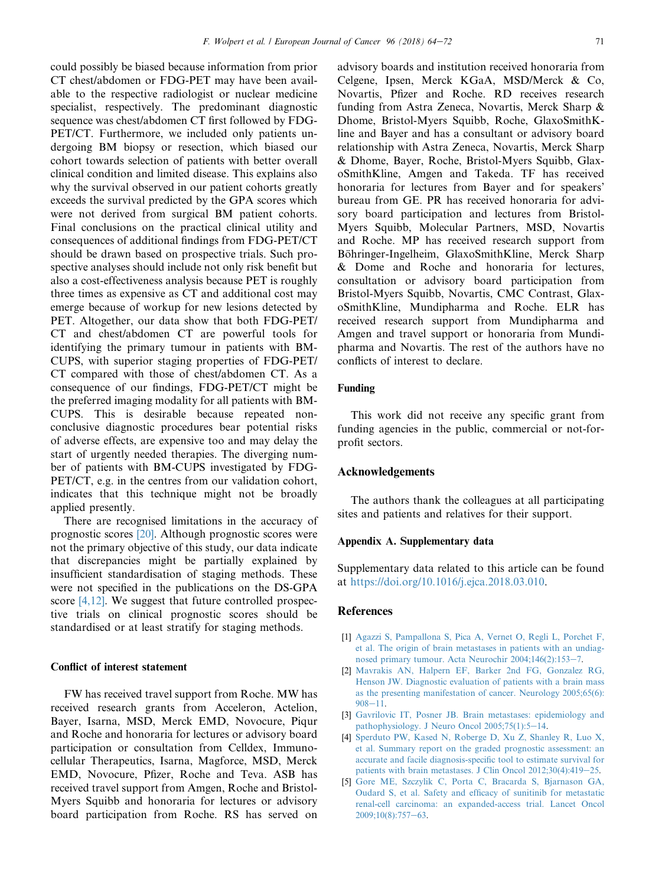<span id="page-7-0"></span>could possibly be biased because information from prior CT chest/abdomen or FDG-PET may have been available to the respective radiologist or nuclear medicine specialist, respectively. The predominant diagnostic sequence was chest/abdomen CT first followed by FDG-PET/CT. Furthermore, we included only patients undergoing BM biopsy or resection, which biased our cohort towards selection of patients with better overall clinical condition and limited disease. This explains also why the survival observed in our patient cohorts greatly exceeds the survival predicted by the GPA scores which were not derived from surgical BM patient cohorts. Final conclusions on the practical clinical utility and consequences of additional findings from FDG-PET/CT should be drawn based on prospective trials. Such prospective analyses should include not only risk benefit but also a cost-effectiveness analysis because PET is roughly three times as expensive as CT and additional cost may emerge because of workup for new lesions detected by PET. Altogether, our data show that both FDG-PET/ CT and chest/abdomen CT are powerful tools for identifying the primary tumour in patients with BM-CUPS, with superior staging properties of FDG-PET/ CT compared with those of chest/abdomen CT. As a consequence of our findings, FDG-PET/CT might be the preferred imaging modality for all patients with BM-CUPS. This is desirable because repeated nonconclusive diagnostic procedures bear potential risks of adverse effects, are expensive too and may delay the start of urgently needed therapies. The diverging number of patients with BM-CUPS investigated by FDG-PET/CT, e.g. in the centres from our validation cohort, indicates that this technique might not be broadly applied presently.

There are recognised limitations in the accuracy of prognostic scores [\[20\].](#page-8-0) Although prognostic scores were not the primary objective of this study, our data indicate that discrepancies might be partially explained by insufficient standardisation of staging methods. These were not specified in the publications on the DS-GPA score  $[4,12]$ . We suggest that future controlled prospective trials on clinical prognostic scores should be standardised or at least stratify for staging methods.

## Conflict of interest statement

FW has received travel support from Roche. MW has received research grants from Acceleron, Actelion, Bayer, Isarna, MSD, Merck EMD, Novocure, Piqur and Roche and honoraria for lectures or advisory board participation or consultation from Celldex, Immunocellular Therapeutics, Isarna, Magforce, MSD, Merck EMD, Novocure, Pfizer, Roche and Teva. ASB has received travel support from Amgen, Roche and Bristol-Myers Squibb and honoraria for lectures or advisory board participation from Roche. RS has served on advisory boards and institution received honoraria from Celgene, Ipsen, Merck KGaA, MSD/Merck & Co, Novartis, Pfizer and Roche. RD receives research funding from Astra Zeneca, Novartis, Merck Sharp & Dhome, Bristol-Myers Squibb, Roche, GlaxoSmithKline and Bayer and has a consultant or advisory board relationship with Astra Zeneca, Novartis, Merck Sharp & Dhome, Bayer, Roche, Bristol-Myers Squibb, GlaxoSmithKline, Amgen and Takeda. TF has received honoraria for lectures from Bayer and for speakers' bureau from GE. PR has received honoraria for advisory board participation and lectures from Bristol-Myers Squibb, Molecular Partners, MSD, Novartis and Roche. MP has received research support from Böhringer-Ingelheim, GlaxoSmithKline, Merck Sharp & Dome and Roche and honoraria for lectures, consultation or advisory board participation from Bristol-Myers Squibb, Novartis, CMC Contrast, GlaxoSmithKline, Mundipharma and Roche. ELR has received research support from Mundipharma and Amgen and travel support or honoraria from Mundipharma and Novartis. The rest of the authors have no conflicts of interest to declare.

# Funding

This work did not receive any specific grant from funding agencies in the public, commercial or not-forprofit sectors.

## Acknowledgements

The authors thank the colleagues at all participating sites and patients and relatives for their support.

## Appendix A. Supplementary data

Supplementary data related to this article can be found at [https://doi.org/10.1016/j.ejca.2018.03.010.](https://doi.org/10.1016/j.ejca.2018.03.010)

## **References**

- [1] [Agazzi S, Pampallona S, Pica A, Vernet O, Regli L, Porchet F,](http://refhub.elsevier.com/S0959-8049(18)30727-5/sref1) [et al. The origin of brain metastases in patients with an undiag](http://refhub.elsevier.com/S0959-8049(18)30727-5/sref1)[nosed primary tumour. Acta Neurochir 2004;146\(2\):153](http://refhub.elsevier.com/S0959-8049(18)30727-5/sref1)-[7.](http://refhub.elsevier.com/S0959-8049(18)30727-5/sref1)
- [2] [Mavrakis AN, Halpern EF, Barker 2nd FG, Gonzalez RG,](http://refhub.elsevier.com/S0959-8049(18)30727-5/sref2) [Henson JW. Diagnostic evaluation of patients with a brain mass](http://refhub.elsevier.com/S0959-8049(18)30727-5/sref2) [as the presenting manifestation of cancer. Neurology 2005;65\(6\):](http://refhub.elsevier.com/S0959-8049(18)30727-5/sref2)  $908 - 11$  $908 - 11$  $908 - 11$ .
- [3] [Gavrilovic IT, Posner JB. Brain metastases: epidemiology and](http://refhub.elsevier.com/S0959-8049(18)30727-5/sref3) pathophysiology. J Neuro Oncol  $2005;75(1):5-14$  $2005;75(1):5-14$ .
- [4] [Sperduto PW, Kased N, Roberge D, Xu Z, Shanley R, Luo X,](http://refhub.elsevier.com/S0959-8049(18)30727-5/sref4) [et al. Summary report on the graded prognostic assessment: an](http://refhub.elsevier.com/S0959-8049(18)30727-5/sref4) [accurate and facile diagnosis-specific tool to estimate survival for](http://refhub.elsevier.com/S0959-8049(18)30727-5/sref4) patients with brain metastases. J Clin Oncol  $2012;30(4):419-25$ .
- [5] [Gore ME, Szczylik C, Porta C, Bracarda S, Bjarnason GA,](http://refhub.elsevier.com/S0959-8049(18)30727-5/sref5) [Oudard S, et al. Safety and efficacy of sunitinib for metastatic](http://refhub.elsevier.com/S0959-8049(18)30727-5/sref5) [renal-cell carcinoma: an expanded-access trial. Lancet Oncol](http://refhub.elsevier.com/S0959-8049(18)30727-5/sref5)  $2009;10(8):757-63.$  $2009;10(8):757-63.$  $2009;10(8):757-63.$